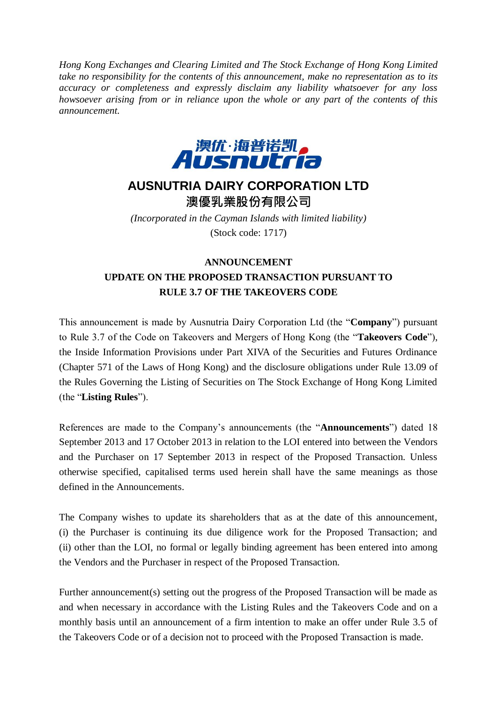*Hong Kong Exchanges and Clearing Limited and The Stock Exchange of Hong Kong Limited take no responsibility for the contents of this announcement, make no representation as to its accuracy or completeness and expressly disclaim any liability whatsoever for any loss howsoever arising from or in reliance upon the whole or any part of the contents of this announcement.*



## **AUSNUTRIA DAIRY CORPORATION LTD**

澳優乳業股份有限公司

*(Incorporated in the Cayman Islands with limited liability)* (Stock code: 1717)

## **ANNOUNCEMENT UPDATE ON THE PROPOSED TRANSACTION PURSUANT TO RULE 3.7 OF THE TAKEOVERS CODE**

This announcement is made by Ausnutria Dairy Corporation Ltd (the "**Company**") pursuant to Rule 3.7 of the Code on Takeovers and Mergers of Hong Kong (the "**Takeovers Code**"), the Inside Information Provisions under Part XIVA of the Securities and Futures Ordinance (Chapter 571 of the Laws of Hong Kong) and the disclosure obligations under Rule 13.09 of the Rules Governing the Listing of Securities on The Stock Exchange of Hong Kong Limited (the "**Listing Rules**").

References are made to the Company's announcements (the "**Announcements**") dated 18 September 2013 and 17 October 2013 in relation to the LOI entered into between the Vendors and the Purchaser on 17 September 2013 in respect of the Proposed Transaction. Unless otherwise specified, capitalised terms used herein shall have the same meanings as those defined in the Announcements.

The Company wishes to update its shareholders that as at the date of this announcement, (i) the Purchaser is continuing its due diligence work for the Proposed Transaction; and (ii) other than the LOI, no formal or legally binding agreement has been entered into among the Vendors and the Purchaser in respect of the Proposed Transaction.

Further announcement(s) setting out the progress of the Proposed Transaction will be made as and when necessary in accordance with the Listing Rules and the Takeovers Code and on a monthly basis until an announcement of a firm intention to make an offer under Rule 3.5 of the Takeovers Code or of a decision not to proceed with the Proposed Transaction is made.